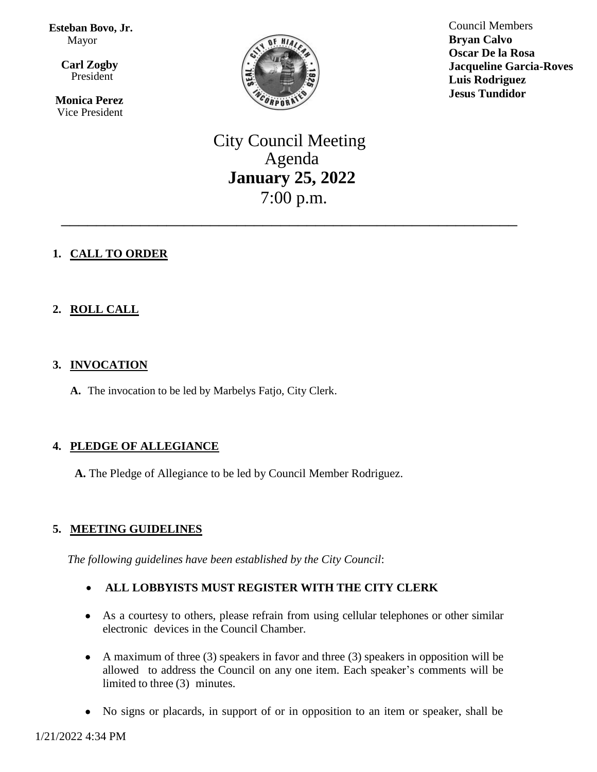**Esteban Bovo, Jr.**  Mayor

 $\overline{\mathbf{a}}$  **Carl Zogby** President

> **Monica Perez** Vice President



Council Members **Bryan Calvo Oscar De la Rosa Jacqueline Garcia-Roves Luis Rodriguez Jesus Tundidor**

City Council Meeting Agenda **January 25, 2022** 7:00 p.m.

\_\_\_\_\_\_\_\_\_\_\_\_\_\_\_\_\_\_\_\_\_\_\_\_\_\_\_\_\_\_\_\_\_\_\_\_\_\_\_\_\_\_\_\_\_\_\_\_\_\_\_\_

# **1. CALL TO ORDER**

# **2. ROLL CALL**

## **3. INVOCATION**

**A.** The invocation to be led by Marbelys Fatjo, City Clerk.

## **4. PLEDGE OF ALLEGIANCE**

**A.** The Pledge of Allegiance to be led by Council Member Rodriguez.

## **5. MEETING GUIDELINES**

*The following guidelines have been established by the City Council*:

# **ALL LOBBYISTS MUST REGISTER WITH THE CITY CLERK**

- As a courtesy to others, please refrain from using cellular telephones or other similar electronic devices in the Council Chamber.
- A maximum of three (3) speakers in favor and three (3) speakers in opposition will be allowed to address the Council on any one item. Each speaker's comments will be limited to three (3) minutes.
- No signs or placards, in support of or in opposition to an item or speaker, shall be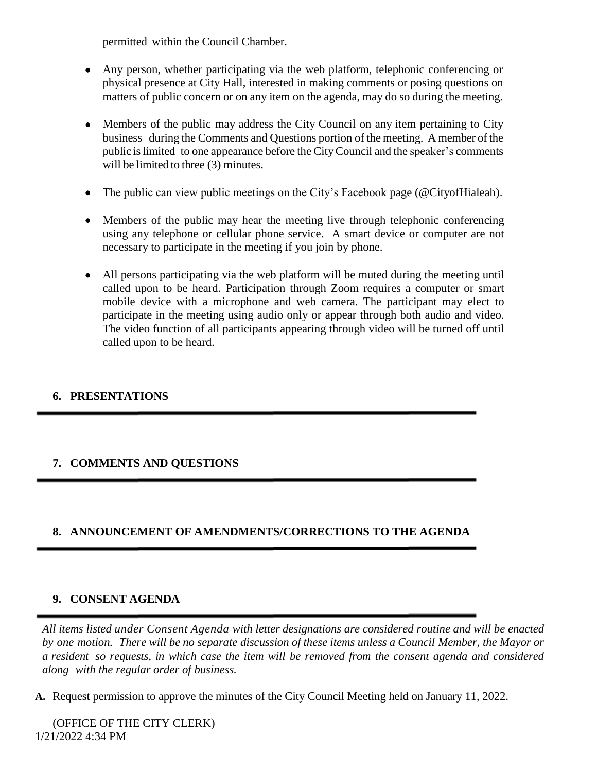permitted within the Council Chamber.

- Any person, whether participating via the web platform, telephonic conferencing or physical presence at City Hall, interested in making comments or posing questions on matters of public concern or on any item on the agenda, may do so during the meeting.
- Members of the public may address the City Council on any item pertaining to City business during the Comments and Questions portion of the meeting. A member of the public islimited to one appearance before the CityCouncil and the speaker's comments will be limited to three (3) minutes.
- The public can view public meetings on the City's Facebook page (@CityofHialeah).
- Members of the public may hear the meeting live through telephonic conferencing using any telephone or cellular phone service. A smart device or computer are not necessary to participate in the meeting if you join by phone.
- All persons participating via the web platform will be muted during the meeting until called upon to be heard. Participation through Zoom requires a computer or smart mobile device with a microphone and web camera. The participant may elect to participate in the meeting using audio only or appear through both audio and video. The video function of all participants appearing through video will be turned off until called upon to be heard.

## **6. PRESENTATIONS**

# **7. COMMENTS AND QUESTIONS**

# **8. ANNOUNCEMENT OF AMENDMENTS/CORRECTIONS TO THE AGENDA**

## **9. CONSENT AGENDA**

*All items listed under Consent Agenda with letter designations are considered routine and will be enacted* by one motion. There will be no separate discussion of these items unless a Council Member, the Mayor or a resident so requests, in which case the item will be removed from the consent agenda and considered *along with the regular order of business.*

**A.** Request permission to approve the minutes of the City Council Meeting held on January 11, 2022.

1/21/2022 4:34 PM (OFFICE OF THE CITY CLERK)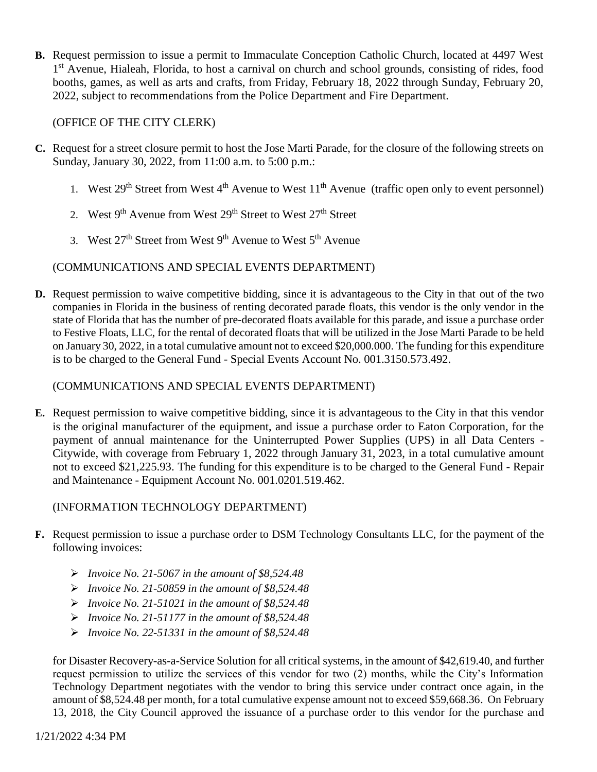**B.** Request permission to issue a permit to Immaculate Conception Catholic Church, located at 4497 West 1<sup>st</sup> Avenue, Hialeah, Florida, to host a carnival on church and school grounds, consisting of rides, food booths, games, as well as arts and crafts, from Friday, February 18, 2022 through Sunday, February 20, 2022, subject to recommendations from the Police Department and Fire Department.

(OFFICE OF THE CITY CLERK)

- **C.** Request for a street closure permit to host the Jose Marti Parade, for the closure of the following streets on Sunday, January 30, 2022, from 11:00 a.m. to 5:00 p.m.:
	- 1. West  $29<sup>th</sup>$  Street from West  $4<sup>th</sup>$  Avenue to West  $11<sup>th</sup>$  Avenue (traffic open only to event personnel)
	- 2. West  $9<sup>th</sup>$  Avenue from West  $29<sup>th</sup>$  Street to West  $27<sup>th</sup>$  Street
	- 3. West  $27<sup>th</sup>$  Street from West  $9<sup>th</sup>$  Avenue to West  $5<sup>th</sup>$  Avenue

## (COMMUNICATIONS AND SPECIAL EVENTS DEPARTMENT)

**D.** Request permission to waive competitive bidding, since it is advantageous to the City in that out of the two companies in Florida in the business of renting decorated parade floats, this vendor is the only vendor in the state of Florida that has the number of pre-decorated floats available for this parade, and issue a purchase order to Festive Floats, LLC, for the rental of decorated floats that will be utilized in the Jose Marti Parade to be held on January 30, 2022, in a total cumulative amount not to exceed \$20,000.000. The funding for this expenditure is to be charged to the General Fund - Special Events Account No. 001.3150.573.492.

#### (COMMUNICATIONS AND SPECIAL EVENTS DEPARTMENT)

**E.** Request permission to waive competitive bidding, since it is advantageous to the City in that this vendor is the original manufacturer of the equipment, and issue a purchase order to Eaton Corporation, for the payment of annual maintenance for the Uninterrupted Power Supplies (UPS) in all Data Centers - Citywide, with coverage from February 1, 2022 through January 31, 2023, in a total cumulative amount not to exceed \$21,225.93. The funding for this expenditure is to be charged to the General Fund - Repair and Maintenance - Equipment Account No. 001.0201.519.462.

## (INFORMATION TECHNOLOGY DEPARTMENT)

- **F.** Request permission to issue a purchase order to DSM Technology Consultants LLC, for the payment of the following invoices:
	- *Invoice No. 21-5067 in the amount of \$8,524.48*
	- *Invoice No. 21-50859 in the amount of \$8,524.48*
	- *Invoice No. 21-51021 in the amount of \$8,524.48*
	- *Invoice No. 21-51177 in the amount of \$8,524.48*
	- *Invoice No. 22-51331 in the amount of \$8,524.48*

for Disaster Recovery-as-a-Service Solution for all critical systems, in the amount of \$42,619.40, and further request permission to utilize the services of this vendor for two (2) months, while the City's Information Technology Department negotiates with the vendor to bring this service under contract once again, in the amount of \$8,524.48 per month, for a total cumulative expense amount not to exceed \$59,668.36. On February 13, 2018, the City Council approved the issuance of a purchase order to this vendor for the purchase and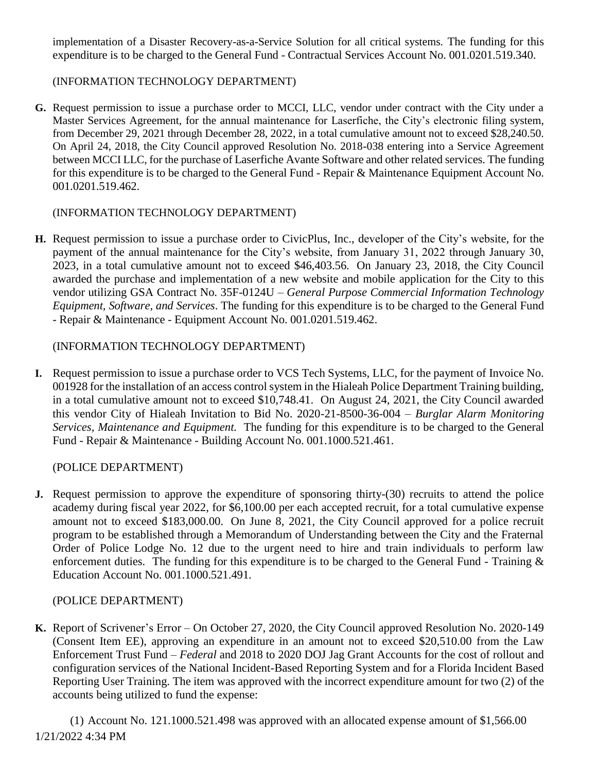implementation of a Disaster Recovery-as-a-Service Solution for all critical systems. The funding for this expenditure is to be charged to the General Fund - Contractual Services Account No. 001.0201.519.340.

## (INFORMATION TECHNOLOGY DEPARTMENT)

**G.** Request permission to issue a purchase order to MCCI, LLC, vendor under contract with the City under a Master Services Agreement, for the annual maintenance for Laserfiche, the City's electronic filing system, from December 29, 2021 through December 28, 2022, in a total cumulative amount not to exceed \$28,240.50. On April 24, 2018, the City Council approved Resolution No. 2018-038 entering into a Service Agreement between MCCI LLC, for the purchase of Laserfiche Avante Software and other related services. The funding for this expenditure is to be charged to the General Fund - Repair & Maintenance Equipment Account No. 001.0201.519.462.

#### (INFORMATION TECHNOLOGY DEPARTMENT)

**H.** Request permission to issue a purchase order to CivicPlus, Inc., developer of the City's website, for the payment of the annual maintenance for the City's website, from January 31, 2022 through January 30, 2023, in a total cumulative amount not to exceed \$46,403.56. On January 23, 2018, the City Council awarded the purchase and implementation of a new website and mobile application for the City to this vendor utilizing GSA Contract No. 35F-0124U – *General Purpose Commercial Information Technology Equipment, Software, and Services*. The funding for this expenditure is to be charged to the General Fund - Repair & Maintenance - Equipment Account No. 001.0201.519.462.

## (INFORMATION TECHNOLOGY DEPARTMENT)

**I.** Request permission to issue a purchase order to VCS Tech Systems, LLC, for the payment of Invoice No. 001928 for the installation of an access controlsystem in the Hialeah Police Department Training building, in a total cumulative amount not to exceed \$10,748.41. On August 24, 2021, the City Council awarded this vendor City of Hialeah Invitation to Bid No. 2020-21-8500-36-004 – *Burglar Alarm Monitoring Services, Maintenance and Equipment.* The funding for this expenditure is to be charged to the General Fund - Repair & Maintenance - Building Account No. 001.1000.521.461.

## (POLICE DEPARTMENT)

**J.** Request permission to approve the expenditure of sponsoring thirty-(30) recruits to attend the police academy during fiscal year 2022, for \$6,100.00 per each accepted recruit, for a total cumulative expense amount not to exceed \$183,000.00. On June 8, 2021, the City Council approved for a police recruit program to be established through a Memorandum of Understanding between the City and the Fraternal Order of Police Lodge No. 12 due to the urgent need to hire and train individuals to perform law enforcement duties. The funding for this expenditure is to be charged to the General Fund - Training & Education Account No. 001.1000.521.491.

## (POLICE DEPARTMENT)

**K.** Report of Scrivener's Error – On October 27, 2020, the City Council approved Resolution No. 2020-149 (Consent Item EE), approving an expenditure in an amount not to exceed \$20,510.00 from the Law Enforcement Trust Fund – *Federal* and 2018 to 2020 DOJ Jag Grant Accounts for the cost of rollout and configuration services of the National Incident-Based Reporting System and for a Florida Incident Based Reporting User Training. The item was approved with the incorrect expenditure amount for two (2) of the accounts being utilized to fund the expense:

1/21/2022 4:34 PM (1) Account No. 121.1000.521.498 was approved with an allocated expense amount of \$1,566.00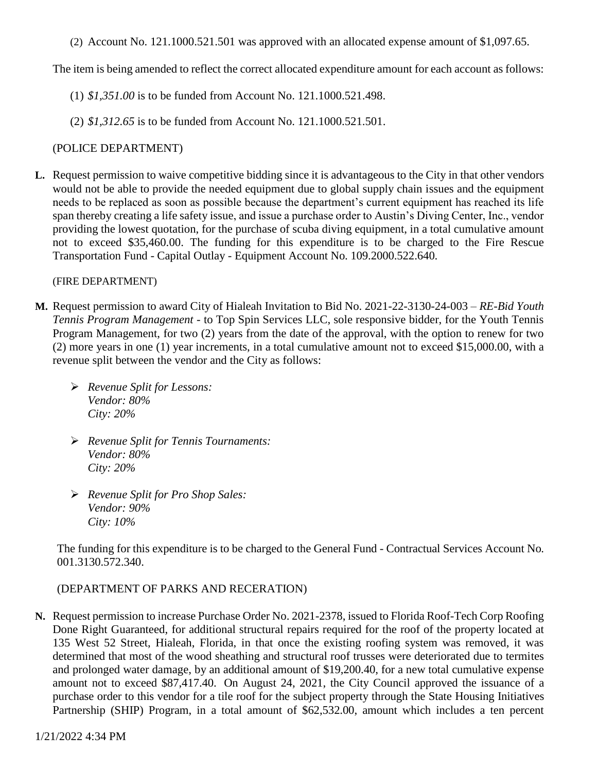(2) Account No. 121.1000.521.501 was approved with an allocated expense amount of \$1,097.65.

The item is being amended to reflect the correct allocated expenditure amount for each account as follows:

- (1) *\$1,351.00* is to be funded from Account No. 121.1000.521.498.
- (2) *\$1,312.65* is to be funded from Account No. 121.1000.521.501.

#### (POLICE DEPARTMENT)

**L.** Request permission to waive competitive bidding since it is advantageous to the City in that other vendors would not be able to provide the needed equipment due to global supply chain issues and the equipment needs to be replaced as soon as possible because the department's current equipment has reached its life span thereby creating a life safety issue, and issue a purchase order to Austin's Diving Center, Inc., vendor providing the lowest quotation, for the purchase of scuba diving equipment, in a total cumulative amount not to exceed \$35,460.00. The funding for this expenditure is to be charged to the Fire Rescue Transportation Fund - Capital Outlay - Equipment Account No. 109.2000.522.640.

#### (FIRE DEPARTMENT)

- **M.** Request permission to award City of Hialeah Invitation to Bid No. 2021-22-3130-24-003 *RE-Bid Youth Tennis Program Management -* to Top Spin Services LLC, sole responsive bidder, for the Youth Tennis Program Management, for two (2) years from the date of the approval, with the option to renew for two (2) more years in one (1) year increments, in a total cumulative amount not to exceed \$15,000.00, with a revenue split between the vendor and the City as follows:
	- *Revenue Split for Lessons: Vendor: 80% City: 20%*
	- *Revenue Split for Tennis Tournaments: Vendor: 80% City: 20%*
	- *Revenue Split for Pro Shop Sales: Vendor: 90% City: 10%*

The funding for this expenditure is to be charged to the General Fund - Contractual Services Account No. 001.3130.572.340.

## (DEPARTMENT OF PARKS AND RECERATION)

**N.** Request permission to increase Purchase Order No. 2021-2378, issued to Florida Roof-Tech Corp Roofing Done Right Guaranteed, for additional structural repairs required for the roof of the property located at 135 West 52 Street, Hialeah, Florida, in that once the existing roofing system was removed, it was determined that most of the wood sheathing and structural roof trusses were deteriorated due to termites and prolonged water damage, by an additional amount of \$19,200.40, for a new total cumulative expense amount not to exceed \$87,417.40. On August 24, 2021, the City Council approved the issuance of a purchase order to this vendor for a tile roof for the subject property through the State Housing Initiatives Partnership (SHIP) Program, in a total amount of \$62,532.00, amount which includes a ten percent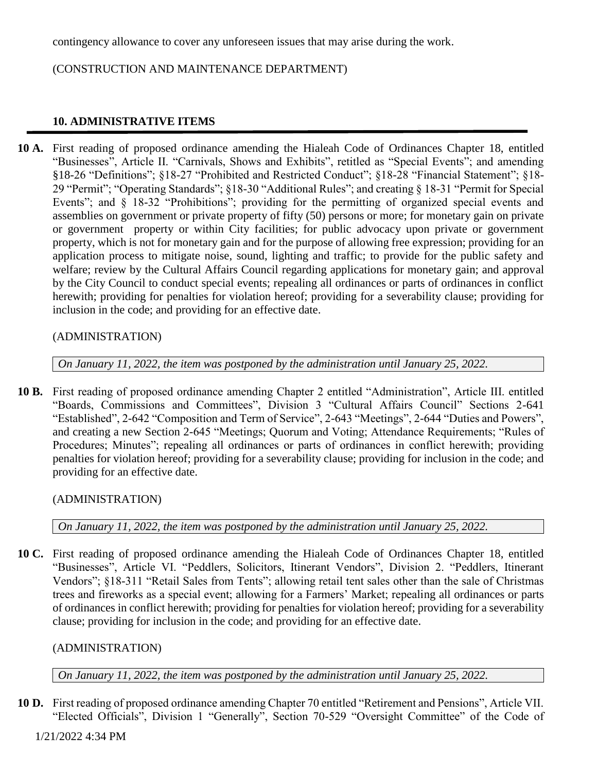contingency allowance to cover any unforeseen issues that may arise during the work.

(CONSTRUCTION AND MAINTENANCE DEPARTMENT)

## **10. ADMINISTRATIVE ITEMS**

**10 A.** First reading of proposed ordinance amending the Hialeah Code of Ordinances Chapter 18, entitled "Businesses", Article II. "Carnivals, Shows and Exhibits", retitled as "Special Events"; and amending §18-26 "Definitions"; §18-27 "Prohibited and Restricted Conduct"; §18-28 "Financial Statement"; §18- 29 "Permit"; "Operating Standards"; §18-30 "Additional Rules"; and creating § 18-31 "Permit for Special Events"; and § 18-32 "Prohibitions"; providing for the permitting of organized special events and assemblies on government or private property of fifty (50) persons or more; for monetary gain on private or government property or within City facilities; for public advocacy upon private or government property, which is not for monetary gain and for the purpose of allowing free expression; providing for an application process to mitigate noise, sound, lighting and traffic; to provide for the public safety and welfare; review by the Cultural Affairs Council regarding applications for monetary gain; and approval by the City Council to conduct special events; repealing all ordinances or parts of ordinances in conflict herewith; providing for penalties for violation hereof; providing for a severability clause; providing for inclusion in the code; and providing for an effective date.

## (ADMINISTRATION)

*On January 11, 2022, the item was postponed by the administration until January 25, 2022.*

**10 B.** First reading of proposed ordinance amending Chapter 2 entitled "Administration", Article III. entitled "Boards, Commissions and Committees", Division 3 "Cultural Affairs Council" Sections 2-641 "Established", 2-642 "Composition and Term of Service", 2-643 "Meetings", 2-644 "Duties and Powers", and creating a new Section 2-645 "Meetings; Quorum and Voting; Attendance Requirements; "Rules of Procedures; Minutes"; repealing all ordinances or parts of ordinances in conflict herewith; providing penalties for violation hereof; providing for a severability clause; providing for inclusion in the code; and providing for an effective date.

(ADMINISTRATION)

*On January 11, 2022, the item was postponed by the administration until January 25, 2022.*

**10 C.** First reading of proposed ordinance amending the Hialeah Code of Ordinances Chapter 18, entitled "Businesses", Article VI. "Peddlers, Solicitors, Itinerant Vendors", Division 2. "Peddlers, Itinerant Vendors"; §18-311 "Retail Sales from Tents"; allowing retail tent sales other than the sale of Christmas trees and fireworks as a special event; allowing for a Farmers' Market; repealing all ordinances or parts of ordinances in conflict herewith; providing for penalties for violation hereof; providing for a severability clause; providing for inclusion in the code; and providing for an effective date.

## (ADMINISTRATION)

*On January 11, 2022, the item was postponed by the administration until January 25, 2022.*

**10 D.** First reading of proposed ordinance amending Chapter 70 entitled "Retirement and Pensions", Article VII. "Elected Officials", Division 1 "Generally", Section 70-529 "Oversight Committee" of the Code of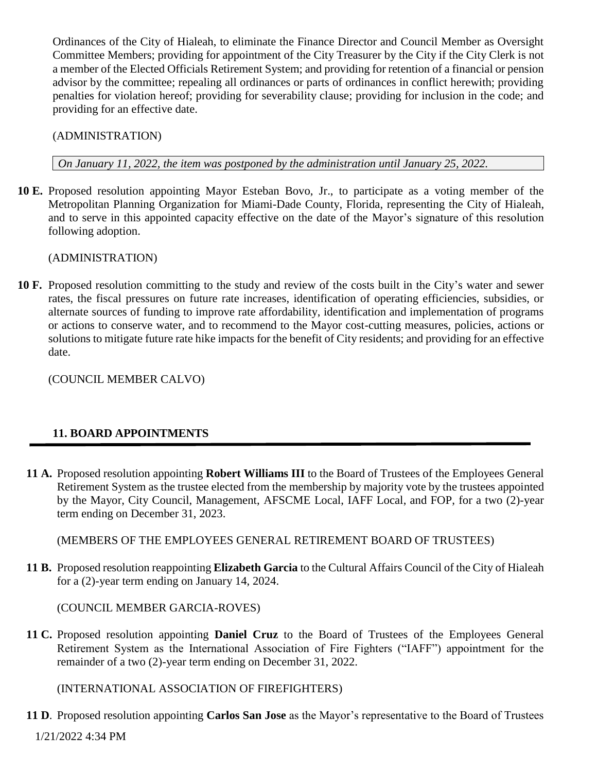Ordinances of the City of Hialeah, to eliminate the Finance Director and Council Member as Oversight Committee Members; providing for appointment of the City Treasurer by the City if the City Clerk is not a member of the Elected Officials Retirement System; and providing for retention of a financial or pension advisor by the committee; repealing all ordinances or parts of ordinances in conflict herewith; providing penalties for violation hereof; providing for severability clause; providing for inclusion in the code; and providing for an effective date.

(ADMINISTRATION)

*On January 11, 2022, the item was postponed by the administration until January 25, 2022.*

**10 E.** Proposed resolution appointing Mayor Esteban Bovo, Jr., to participate as a voting member of the Metropolitan Planning Organization for Miami-Dade County, Florida, representing the City of Hialeah, and to serve in this appointed capacity effective on the date of the Mayor's signature of this resolution following adoption.

(ADMINISTRATION)

**10 F.** Proposed resolution committing to the study and review of the costs built in the City's water and sewer rates, the fiscal pressures on future rate increases, identification of operating efficiencies, subsidies, or alternate sources of funding to improve rate affordability, identification and implementation of programs or actions to conserve water, and to recommend to the Mayor cost-cutting measures, policies, actions or solutions to mitigate future rate hike impacts for the benefit of City residents; and providing for an effective date.

(COUNCIL MEMBER CALVO)

# **11. BOARD APPOINTMENTS**

**11 A.** Proposed resolution appointing **Robert Williams III** to the Board of Trustees of the Employees General Retirement System as the trustee elected from the membership by majority vote by the trustees appointed by the Mayor, City Council, Management, AFSCME Local, IAFF Local, and FOP, for a two (2)-year term ending on December 31, 2023.

(MEMBERS OF THE EMPLOYEES GENERAL RETIREMENT BOARD OF TRUSTEES)

**11 B.** Proposed resolution reappointing **Elizabeth Garcia** to the Cultural Affairs Council of the City of Hialeah for a (2)-year term ending on January 14, 2024.

(COUNCIL MEMBER GARCIA-ROVES)

**11 C.** Proposed resolution appointing **Daniel Cruz** to the Board of Trustees of the Employees General Retirement System as the International Association of Fire Fighters ("IAFF") appointment for the remainder of a two (2)-year term ending on December 31, 2022.

(INTERNATIONAL ASSOCIATION OF FIREFIGHTERS)

1/21/2022 4:34 PM **11 D**. Proposed resolution appointing **Carlos San Jose** as the Mayor's representative to the Board of Trustees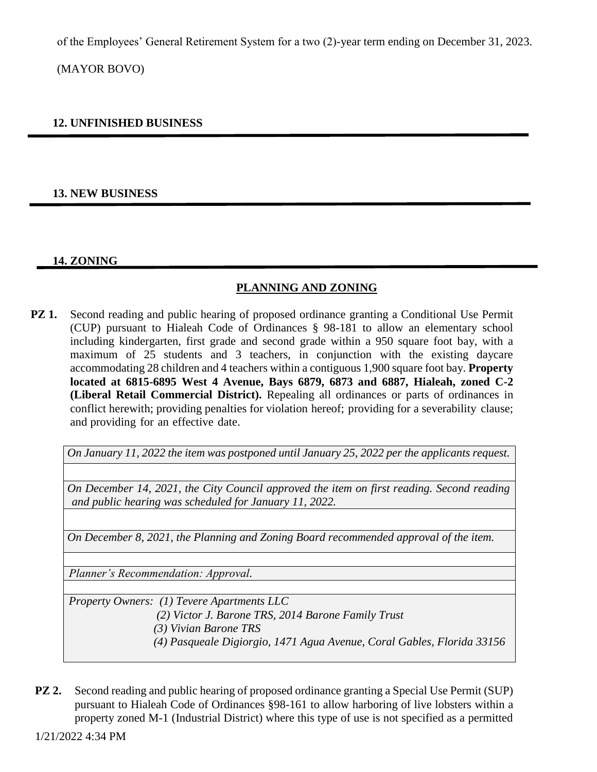of the Employees' General Retirement System for a two (2)-year term ending on December 31, 2023.

(MAYOR BOVO)

## **12. UNFINISHED BUSINESS**

## **13. NEW BUSINESS**

## **14. ZONING**

## **PLANNING AND ZONING**

**PZ 1.** Second reading and public hearing of proposed ordinance granting a Conditional Use Permit (CUP) pursuant to Hialeah Code of Ordinances § 98-181 to allow an elementary school including kindergarten, first grade and second grade within a 950 square foot bay, with a maximum of 25 students and 3 teachers, in conjunction with the existing daycare accommodating 28 children and 4 teachers within a contiguous 1,900 square foot bay. **Property located at 6815-6895 West 4 Avenue, Bays 6879, 6873 and 6887, Hialeah, zoned C-2 (Liberal Retail Commercial District).** Repealing all ordinances or parts of ordinances in conflict herewith; providing penalties for violation hereof; providing for a severability clause; and providing for an effective date.

*On January 11, 2022 the item was postponed until January 25, 2022 per the applicants request.*

*On December 14, 2021, the City Council approved the item on first reading. Second reading and public hearing was scheduled for January 11, 2022.*

*On December 8, 2021, the Planning and Zoning Board recommended approval of the item.*

*Planner's Recommendation: Approval.*

*Property Owners: (1) Tevere Apartments LLC*

 *(2) Victor J. Barone TRS, 2014 Barone Family Trust* 

 *(3) Vivian Barone TRS*

- *(4) Pasqueale Digiorgio, 1471 Agua Avenue, Coral Gables, Florida 33156*
- **PZ 2.** Second reading and public hearing of proposed ordinance granting a Special Use Permit (SUP) pursuant to Hialeah Code of Ordinances §98-161 to allow harboring of live lobsters within a property zoned M-1 (Industrial District) where this type of use is not specified as a permitted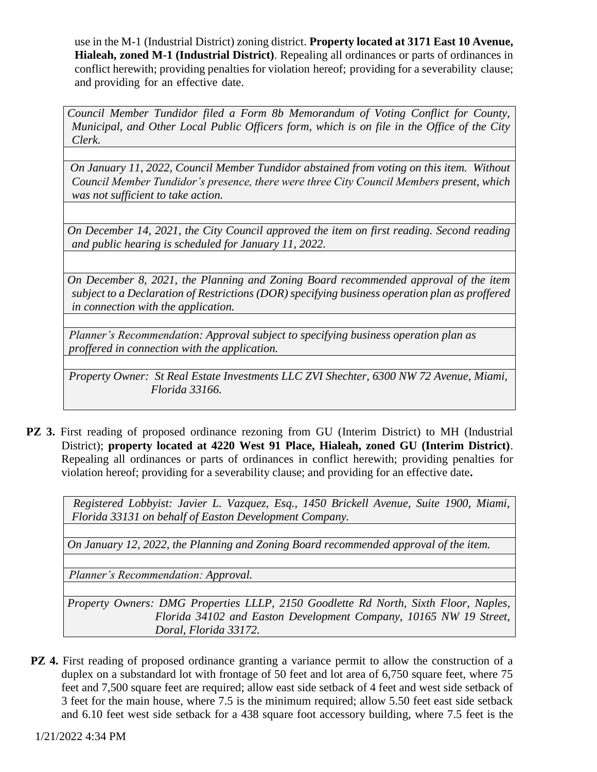use in the M-1 (Industrial District) zoning district. **Property located at 3171 East 10 Avenue, Hialeah, zoned M-1 (Industrial District)**. Repealing all ordinances or parts of ordinances in conflict herewith; providing penalties for violation hereof; providing for a severability clause; and providing for an effective date.

*Council Member Tundidor filed a Form 8b Memorandum of Voting Conflict for County, Municipal, and Other Local Public Officers form, which is on file in the Office of the City Clerk.*

*On January 11, 2022, Council Member Tundidor abstained from voting on this item. Without Council Member Tundidor's presence, there were three City Council Members present, which was not sufficient to take action.* 

*On December 14, 2021, the City Council approved the item on first reading. Second reading and public hearing is scheduled for January 11, 2022.*

*On December 8, 2021, the Planning and Zoning Board recommended approval of the item subject to a Declaration of Restrictions (DOR) specifying business operation plan as proffered in connection with the application.*

*Planner's Recommendation: Approval subject to specifying business operation plan as proffered in connection with the application.*

*Property Owner: St Real Estate Investments LLC ZVI Shechter, 6300 NW 72 Avenue, Miami, Florida 33166.*

**PZ 3.** First reading of proposed ordinance rezoning from GU (Interim District) to MH (Industrial District); **property located at 4220 West 91 Place, Hialeah, zoned GU (Interim District)**. Repealing all ordinances or parts of ordinances in conflict herewith; providing penalties for violation hereof; providing for a severability clause; and providing for an effective date**.**

 *Registered Lobbyist: Javier L. Vazquez, Esq., 1450 Brickell Avenue, Suite 1900, Miami, Florida 33131 on behalf of Easton Development Company.*

*On January 12, 2022, the Planning and Zoning Board recommended approval of the item.*

*Planner's Recommendation: Approval.*

*Property Owners: DMG Properties LLLP, 2150 Goodlette Rd North, Sixth Floor, Naples, Florida 34102 and Easton Development Company, 10165 NW 19 Street, Doral, Florida 33172.*

**PZ 4.** First reading of proposed ordinance granting a variance permit to allow the construction of a duplex on a substandard lot with frontage of 50 feet and lot area of 6,750 square feet, where 75 feet and 7,500 square feet are required; allow east side setback of 4 feet and west side setback of 3 feet for the main house, where 7.5 is the minimum required; allow 5.50 feet east side setback and 6.10 feet west side setback for a 438 square foot accessory building, where 7.5 feet is the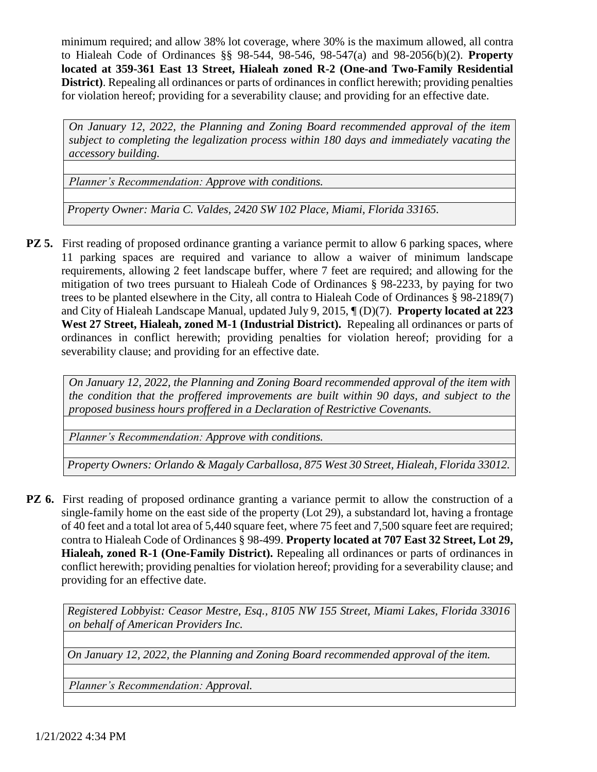minimum required; and allow 38% lot coverage, where 30% is the maximum allowed, all contra to Hialeah Code of Ordinances §§ 98-544, 98-546, 98-547(a) and 98-2056(b)(2). **Property located at 359-361 East 13 Street, Hialeah zoned R-2 (One-and Two-Family Residential District)**. Repealing all ordinances or parts of ordinances in conflict herewith; providing penalties for violation hereof; providing for a severability clause; and providing for an effective date.

*On January 12, 2022, the Planning and Zoning Board recommended approval of the item subject to completing the legalization process within 180 days and immediately vacating the accessory building.*

*Planner's Recommendation: Approve with conditions.* 

*Property Owner: Maria C. Valdes, 2420 SW 102 Place, Miami, Florida 33165.*

**PZ 5.** First reading of proposed ordinance granting a variance permit to allow 6 parking spaces, where 11 parking spaces are required and variance to allow a waiver of minimum landscape requirements, allowing 2 feet landscape buffer, where 7 feet are required; and allowing for the mitigation of two trees pursuant to Hialeah Code of Ordinances § 98-2233, by paying for two trees to be planted elsewhere in the City, all contra to Hialeah Code of Ordinances § 98-2189(7) and City of Hialeah Landscape Manual, updated July 9, 2015, ¶ (D)(7). **Property located at 223 West 27 Street, Hialeah, zoned M-1 (Industrial District).** Repealing all ordinances or parts of ordinances in conflict herewith; providing penalties for violation hereof; providing for a severability clause; and providing for an effective date.

*On January 12, 2022, the Planning and Zoning Board recommended approval of the item with the condition that the proffered improvements are built within 90 days, and subject to the proposed business hours proffered in a Declaration of Restrictive Covenants.*

*Planner's Recommendation: Approve with conditions.* 

*Property Owners: Orlando & Magaly Carballosa, 875 West 30 Street, Hialeah, Florida 33012.*

**PZ 6.** First reading of proposed ordinance granting a variance permit to allow the construction of a single-family home on the east side of the property (Lot 29), a substandard lot, having a frontage of 40 feet and a total lot area of 5,440 square feet, where 75 feet and 7,500 square feet are required; contra to Hialeah Code of Ordinances § 98-499. **Property located at 707 East 32 Street, Lot 29, Hialeah, zoned R-1 (One-Family District).** Repealing all ordinances or parts of ordinances in conflict herewith; providing penalties for violation hereof; providing for a severability clause; and providing for an effective date.

*Registered Lobbyist: Ceasor Mestre, Esq., 8105 NW 155 Street, Miami Lakes, Florida 33016 on behalf of American Providers Inc.*

*On January 12, 2022, the Planning and Zoning Board recommended approval of the item.*

*Planner's Recommendation: Approval.*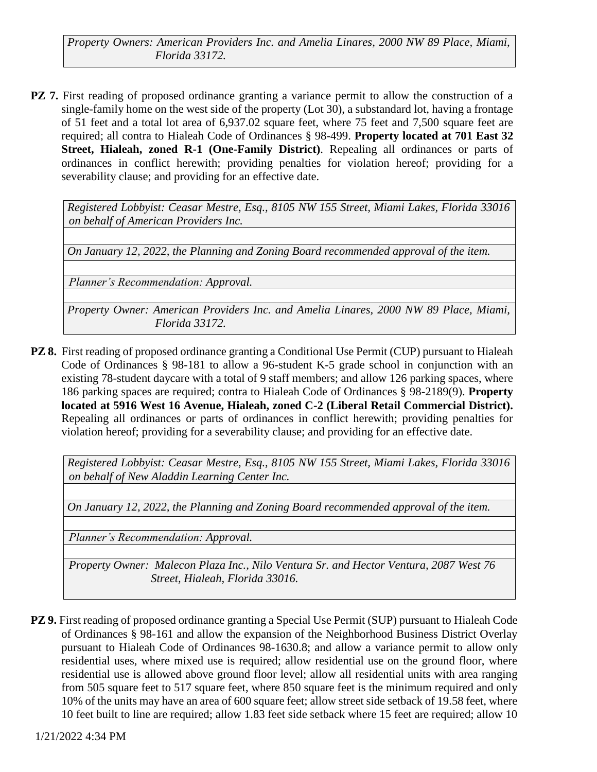*Property Owners: American Providers Inc. and Amelia Linares, 2000 NW 89 Place, Miami, Florida 33172.*

**PZ 7.** First reading of proposed ordinance granting a variance permit to allow the construction of a single-family home on the west side of the property (Lot 30), a substandard lot, having a frontage of 51 feet and a total lot area of 6,937.02 square feet, where 75 feet and 7,500 square feet are required; all contra to Hialeah Code of Ordinances § 98-499. **Property located at 701 East 32 Street, Hialeah, zoned R-1 (One-Family District)**. Repealing all ordinances or parts of ordinances in conflict herewith; providing penalties for violation hereof; providing for a severability clause; and providing for an effective date.

*Registered Lobbyist: Ceasar Mestre, Esq., 8105 NW 155 Street, Miami Lakes, Florida 33016 on behalf of American Providers Inc.*

*On January 12, 2022, the Planning and Zoning Board recommended approval of the item.*

*Planner's Recommendation: Approval.*

*Property Owner: American Providers Inc. and Amelia Linares, 2000 NW 89 Place, Miami, Florida 33172.*

**PZ 8.** First reading of proposed ordinance granting a Conditional Use Permit (CUP) pursuant to Hialeah Code of Ordinances § 98-181 to allow a 96-student K-5 grade school in conjunction with an existing 78-student daycare with a total of 9 staff members; and allow 126 parking spaces, where 186 parking spaces are required; contra to Hialeah Code of Ordinances § 98-2189(9). **Property located at 5916 West 16 Avenue, Hialeah, zoned C-2 (Liberal Retail Commercial District).**  Repealing all ordinances or parts of ordinances in conflict herewith; providing penalties for violation hereof; providing for a severability clause; and providing for an effective date.

*Registered Lobbyist: Ceasar Mestre, Esq., 8105 NW 155 Street, Miami Lakes, Florida 33016 on behalf of New Aladdin Learning Center Inc.* 

*On January 12, 2022, the Planning and Zoning Board recommended approval of the item.*

*Planner's Recommendation: Approval.*

*Property Owner: Malecon Plaza Inc., Nilo Ventura Sr. and Hector Ventura, 2087 West 76 Street, Hialeah, Florida 33016.*

**PZ 9.** First reading of proposed ordinance granting a Special Use Permit (SUP) pursuant to Hialeah Code of Ordinances § 98-161 and allow the expansion of the Neighborhood Business District Overlay pursuant to Hialeah Code of Ordinances 98-1630.8; and allow a variance permit to allow only residential uses, where mixed use is required; allow residential use on the ground floor, where residential use is allowed above ground floor level; allow all residential units with area ranging from 505 square feet to 517 square feet, where 850 square feet is the minimum required and only 10% of the units may have an area of 600 square feet; allow street side setback of 19.58 feet, where 10 feet built to line are required; allow 1.83 feet side setback where 15 feet are required; allow 10